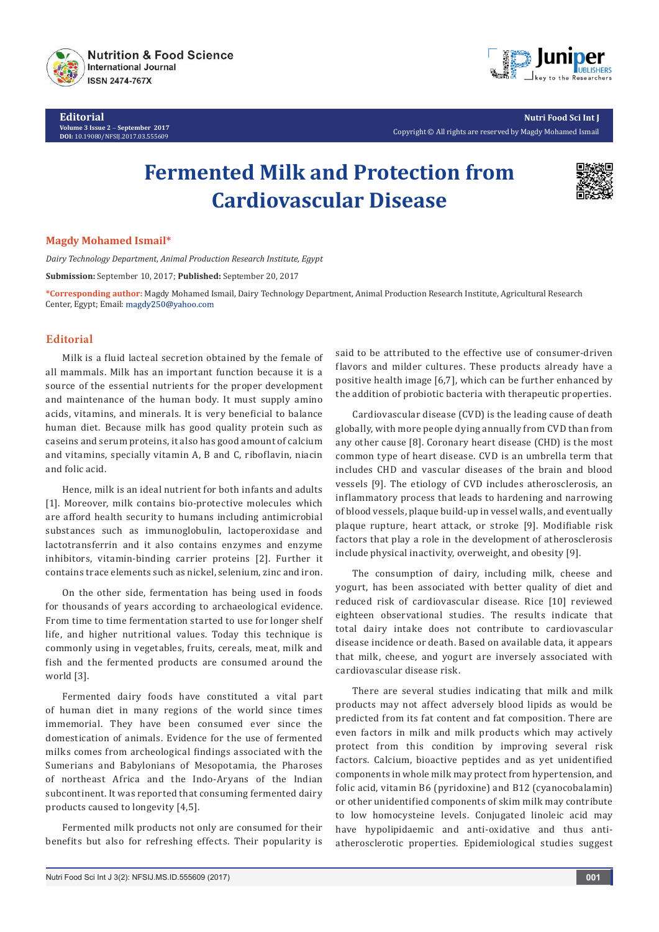

**Editorial Volume 3 Issue 2** - **September 2017 DOI:** [10.19080/NFSIJ.2017.03.55](http://dx.doi.org/10.19080/NFSIJ.2017.03.555609)5609



**Nutri Food Sci Int J** Copyright © All rights are reserved by Magdy Mohamed Ismail

# **Fermented Milk and Protection from Cardiovascular Disease**



## **Magdy Mohamed Ismail\***

*Dairy Technology Department, Animal Production Research Institute, Egypt*

**Submission:** September 10, 2017; **Published:** September 20, 2017

**\*Corresponding author:** Magdy Mohamed Ismail, Dairy Technology Department, Animal Production Research Institute, Agricultural Research Center, Egypt; Email: magdy250@yahoo.com

# **Editorial**

Milk is a fluid lacteal secretion obtained by the female of all mammals. Milk has an important function because it is a source of the essential nutrients for the proper development and maintenance of the human body. It must supply amino acids, vitamins, and minerals. It is very beneficial to balance human diet. Because milk has good quality protein such as caseins and serum proteins, it also has good amount of calcium and vitamins, specially vitamin A, B and C, riboflavin, niacin and folic acid.

Hence, milk is an ideal nutrient for both infants and adults [1]. Moreover, milk contains bio-protective molecules which are afford health security to humans including antimicrobial substances such as immunoglobulin, lactoperoxidase and lactotransferrin and it also contains enzymes and enzyme inhibitors, vitamin-binding carrier proteins [2]. Further it contains trace elements such as nickel, selenium, zinc and iron.

On the other side, fermentation has being used in foods for thousands of years according to archaeological evidence. From time to time fermentation started to use for longer shelf life, and higher nutritional values. Today this technique is commonly using in vegetables, fruits, cereals, meat, milk and fish and the fermented products are consumed around the world [3].

Fermented dairy foods have constituted a vital part of human diet in many regions of the world since times immemorial. They have been consumed ever since the domestication of animals. Evidence for the use of fermented milks comes from archeological findings associated with the Sumerians and Babylonians of Mesopotamia, the Pharoses of northeast Africa and the Indo-Aryans of the Indian subcontinent. It was reported that consuming fermented dairy products caused to longevity [4,5].

Fermented milk products not only are consumed for their benefits but also for refreshing effects. Their popularity is

said to be attributed to the effective use of consumer-driven flavors and milder cultures. These products already have a positive health image [6,7], which can be further enhanced by the addition of probiotic bacteria with therapeutic properties.

Cardiovascular disease (CVD) is the leading cause of death globally, with more people dying annually from CVD than from any other cause [8]. Coronary heart disease (CHD) is the most common type of heart disease. CVD is an umbrella term that includes CHD and vascular diseases of the brain and blood vessels [9]. The etiology of CVD includes atherosclerosis, an inflammatory process that leads to hardening and narrowing of blood vessels, plaque build-up in vessel walls, and eventually plaque rupture, heart attack, or stroke [9]. Modifiable risk factors that play a role in the development of atherosclerosis include physical inactivity, overweight, and obesity [9].

The consumption of dairy, including milk, cheese and yogurt, has been associated with better quality of diet and reduced risk of cardiovascular disease. Rice [10] reviewed eighteen observational studies. The results indicate that total dairy intake does not contribute to cardiovascular disease incidence or death. Based on available data, it appears that milk, cheese, and yogurt are inversely associated with cardiovascular disease risk.

There are several studies indicating that milk and milk products may not affect adversely blood lipids as would be predicted from its fat content and fat composition. There are even factors in milk and milk products which may actively protect from this condition by improving several risk factors. Calcium, bioactive peptides and as yet unidentified components in whole milk may protect from hypertension, and folic acid, vitamin B6 (pyridoxine) and B12 (cyanocobalamin) or other unidentified components of skim milk may contribute to low homocysteine levels. Conjugated linoleic acid may have hypolipidaemic and anti-oxidative and thus antiatherosclerotic properties. Epidemiological studies suggest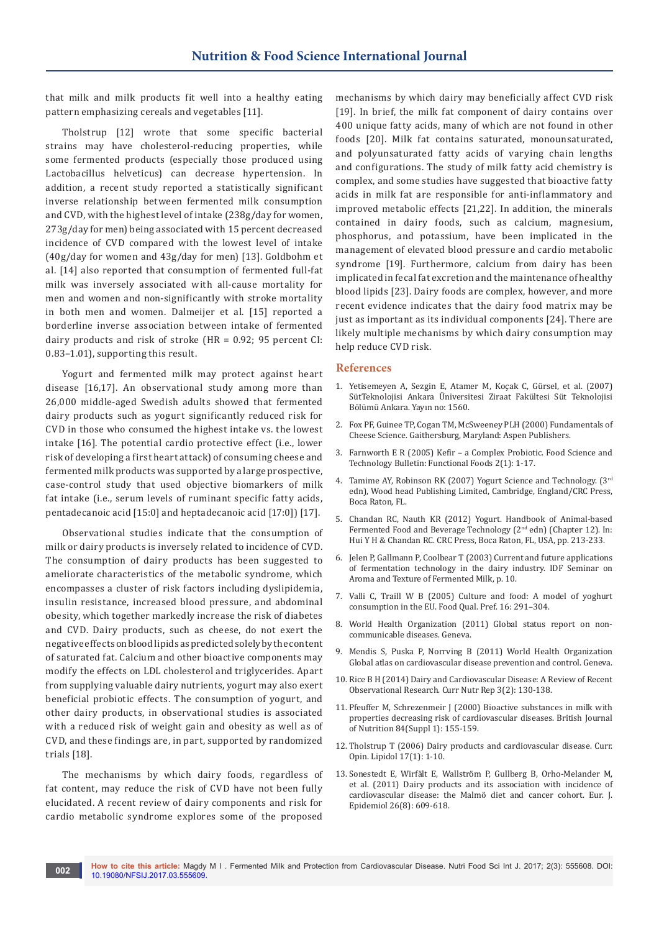that milk and milk products fit well into a healthy eating pattern emphasizing cereals and vegetables [11].

Tholstrup [12] wrote that some specific bacterial strains may have cholesterol-reducing properties, while some fermented products (especially those produced using Lactobacillus helveticus) can decrease hypertension. In addition, a recent study reported a statistically significant inverse relationship between fermented milk consumption and CVD, with the highest level of intake (238g/day for women, 273g/day for men) being associated with 15 percent decreased incidence of CVD compared with the lowest level of intake (40g/day for women and 43g/day for men) [13]. Goldbohm et al. [14] also reported that consumption of fermented full-fat milk was inversely associated with all-cause mortality for men and women and non-significantly with stroke mortality in both men and women. Dalmeijer et al. [15] reported a borderline inverse association between intake of fermented dairy products and risk of stroke (HR = 0.92; 95 percent CI: 0.83–1.01), supporting this result.

Yogurt and fermented milk may protect against heart disease [16,17]. An observational study among more than 26,000 middle-aged Swedish adults showed that fermented dairy products such as yogurt significantly reduced risk for CVD in those who consumed the highest intake vs. the lowest intake [16]. The potential cardio protective effect (i.e., lower risk of developing a first heart attack) of consuming cheese and fermented milk products was supported by a large prospective, case-control study that used objective biomarkers of milk fat intake (i.e., serum levels of ruminant specific fatty acids, pentadecanoic acid [15:0] and heptadecanoic acid [17:0]) [17].

Observational studies indicate that the consumption of milk or dairy products is inversely related to incidence of CVD. The consumption of dairy products has been suggested to ameliorate characteristics of the metabolic syndrome, which encompasses a cluster of risk factors including dyslipidemia, insulin resistance, increased blood pressure, and abdominal obesity, which together markedly increase the risk of diabetes and CVD. Dairy products, such as cheese, do not exert the negative effects on blood lipids as predicted solely by the content of saturated fat. Calcium and other bioactive components may modify the effects on LDL cholesterol and triglycerides. Apart from supplying valuable dairy nutrients, yogurt may also exert beneficial probiotic effects. The consumption of yogurt, and other dairy products, in observational studies is associated with a reduced risk of weight gain and obesity as well as of CVD, and these findings are, in part, supported by randomized trials [18].

The mechanisms by which dairy foods, regardless of fat content, may reduce the risk of CVD have not been fully elucidated. A recent review of dairy components and risk for cardio metabolic syndrome explores some of the proposed

mechanisms by which dairy may beneficially affect CVD risk [19]. In brief, the milk fat component of dairy contains over 400 unique fatty acids, many of which are not found in other foods [20]. Milk fat contains saturated, monounsaturated, and polyunsaturated fatty acids of varying chain lengths and configurations. The study of milk fatty acid chemistry is complex, and some studies have suggested that bioactive fatty acids in milk fat are responsible for anti-inflammatory and improved metabolic effects [21,22]. In addition, the minerals contained in dairy foods, such as calcium, magnesium, phosphorus, and potassium, have been implicated in the management of elevated blood pressure and cardio metabolic syndrome [19]. Furthermore, calcium from dairy has been implicated in fecal fat excretion and the maintenance of healthy blood lipids [23]. Dairy foods are complex, however, and more recent evidence indicates that the dairy food matrix may be just as important as its individual components [24]. There are likely multiple mechanisms by which dairy consumption may help reduce CVD risk.

#### **References**

- 1. Yetisemeyen A, Sezgin E, Atamer M, Koçak C, Gürsel, et al. (2007) SütTeknolojisi Ankara Üniversitesi Ziraat Fakültesi Süt Teknolojisi Bölümü Ankara. Yayın no: 1560.
- 2. Fox PF, Guinee TP, Cogan TM, McSweeney PLH (2000) Fundamentals of Cheese Science. Gaithersburg, Maryland: Aspen Publishers.
- 3. Farnworth E R (2005) Kefir a Complex Probiotic. Food Science and Technology Bulletin: Functional Foods 2(1): 1-17.
- 4. Tamime AY, Robinson RK (2007) Yogurt Science and Technology. (3rd edn), Wood head Publishing Limited, Cambridge, England/CRC Press, Boca Raton, FL.
- 5. Chandan RC, Nauth KR (2012) Yogurt. Handbook of Animal-based Fermented Food and Beverage Technology (2nd edn) (Chapter 12). In: Hui Y H & Chandan RC. CRC Press, Boca Raton, FL, USA, pp. 213-233.
- 6. Jelen P, Gallmann P, Coolbear T (2003) Current and future applications of fermentation technology in the dairy industry. IDF Seminar on Aroma and Texture of Fermented Milk, p. 10.
- 7. [Valli C, Traill W B \(2005\) Culture and food: A model of yoghurt](http://agris.fao.org/agris-search/search.do?recordID=US201300981976)  [consumption in the EU. Food Qual. Pref. 16: 291–304.](http://agris.fao.org/agris-search/search.do?recordID=US201300981976)
- 8. World Health Organization (2011) Global status report on noncommunicable diseases. Geneva.
- 9. Mendis S, Puska P, Norrving B (2011) World Health Organization Global atlas on cardiovascular disease prevention and control. Geneva.
- 10. [Rice B H \(2014\) Dairy and Cardiovascular Disease: A Review of Recent](https://www.ncbi.nlm.nih.gov/pubmed/24818071/)  [Observational Research. Curr Nutr Rep 3\(2\): 130-138.](https://www.ncbi.nlm.nih.gov/pubmed/24818071/)
- 11. [Pfeuffer M, Schrezenmeir J \(2000\) Bioactive substances in milk with](https://www.ncbi.nlm.nih.gov/pubmed/11242460)  [properties decreasing risk of cardiovascular diseases. British Journal](https://www.ncbi.nlm.nih.gov/pubmed/11242460)  of Nutrition 84[\(Suppl 1\): 155-159.](https://www.ncbi.nlm.nih.gov/pubmed/11242460)
- 12. [Tholstrup T \(2006\) Dairy products and cardiovascular disease. Curr.](https://www.ncbi.nlm.nih.gov/pubmed/16407709)  [Opin. Lipidol 17\(1\): 1-10.](https://www.ncbi.nlm.nih.gov/pubmed/16407709)
- 13. [Sonestedt E, Wirfält E, Wallström P, Gullberg B, Orho-Melander M,](https://www.ncbi.nlm.nih.gov/pubmed/21660519)  [et al. \(2011\) Dairy products and its association with incidence of](https://www.ncbi.nlm.nih.gov/pubmed/21660519)  [cardiovascular disease: the Malmö diet and cancer cohort. Eur. J.](https://www.ncbi.nlm.nih.gov/pubmed/21660519)  [Epidemiol 26\(8\): 609-618.](https://www.ncbi.nlm.nih.gov/pubmed/21660519)